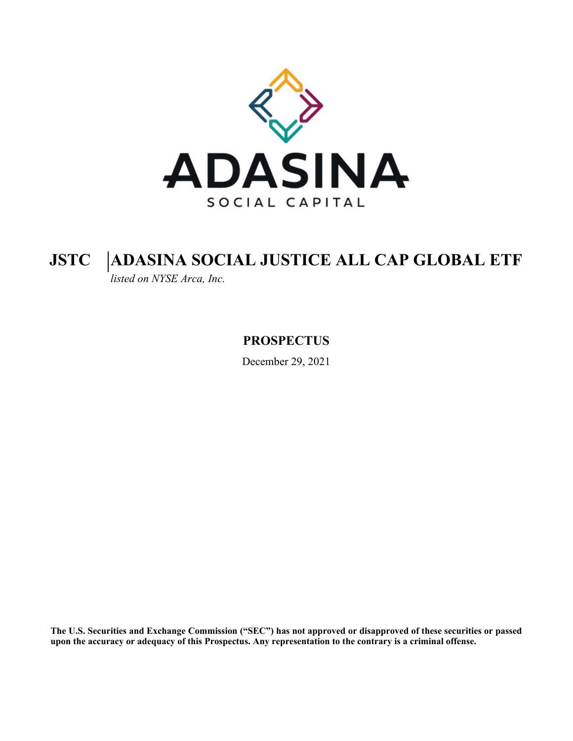

# **JSTC ADASINA SOCIAL JUSTICE ALL CAP GLOBAL ETF**

*listed on NYSE Arca, Inc.*

**PROSPECTUS**

December 29, 2021

**The U.S. Securities and Exchange Commission ("SEC") has not approved or disapproved of these securities or passed upon the accuracy or adequacy of this Prospectus. Any representation to the contrary is a criminal offense.**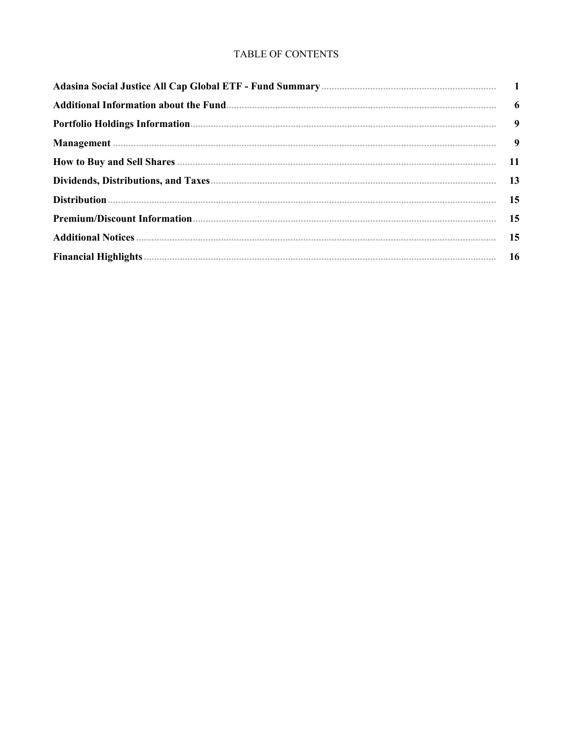# TABLE OF CONTENTS

| <b>11</b> |
|-----------|
|           |
|           |
|           |
| 15        |
|           |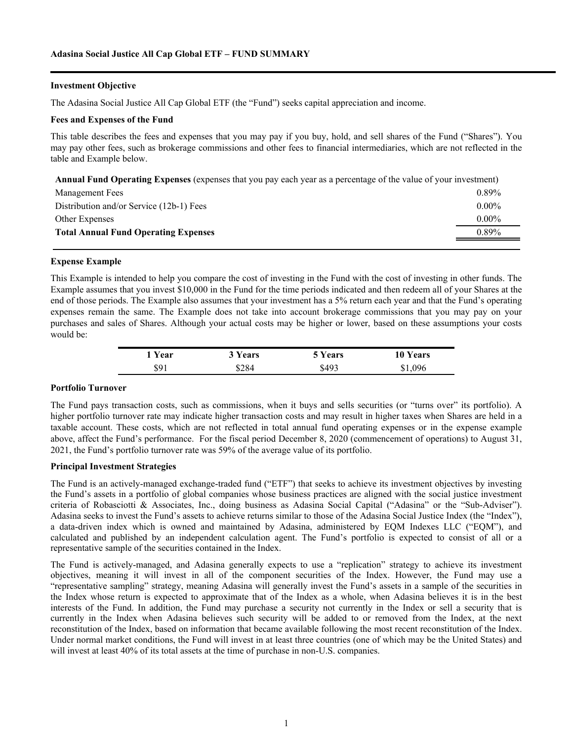#### <span id="page-2-0"></span>**Investment Objective**

The Adasina Social Justice All Cap Global ETF (the "Fund") seeks capital appreciation and income.

#### **Fees and Expenses of the Fund**

This table describes the fees and expenses that you may pay if you buy, hold, and sell shares of the Fund ("Shares"). You may pay other fees, such as brokerage commissions and other fees to financial intermediaries, which are not reflected in the table and Example below.

**Annual Fund Operating Expenses** (expenses that you pay each year as a percentage of the value of your investment)

| Management Fees                             | $0.89\%$ |
|---------------------------------------------|----------|
| Distribution and/or Service (12b-1) Fees    | $0.00\%$ |
| Other Expenses                              | $0.00\%$ |
| <b>Total Annual Fund Operating Expenses</b> | $0.89\%$ |
|                                             |          |

#### **Expense Example**

This Example is intended to help you compare the cost of investing in the Fund with the cost of investing in other funds. The Example assumes that you invest \$10,000 in the Fund for the time periods indicated and then redeem all of your Shares at the end of those periods. The Example also assumes that your investment has a 5% return each year and that the Fund's operating expenses remain the same. The Example does not take into account brokerage commissions that you may pay on your purchases and sales of Shares. Although your actual costs may be higher or lower, based on these assumptions your costs would be:

| 1 Year | 3 Years | 5 Years | 10 Years |
|--------|---------|---------|----------|
| \$91   | \$284   | \$493   | \$1,096  |

#### **Portfolio Turnover**

The Fund pays transaction costs, such as commissions, when it buys and sells securities (or "turns over" its portfolio). A higher portfolio turnover rate may indicate higher transaction costs and may result in higher taxes when Shares are held in a taxable account. These costs, which are not reflected in total annual fund operating expenses or in the expense example above, affect the Fund's performance. For the fiscal period December 8, 2020 (commencement of operations) to August 31, 2021, the Fund's portfolio turnover rate was 59% of the average value of its portfolio.

#### **Principal Investment Strategies**

The Fund is an actively-managed exchange-traded fund ("ETF") that seeks to achieve its investment objectives by investing the Fund's assets in a portfolio of global companies whose business practices are aligned with the social justice investment criteria of Robasciotti & Associates, Inc., doing business as Adasina Social Capital ("Adasina" or the "Sub-Adviser"). Adasina seeks to invest the Fund's assets to achieve returns similar to those of the Adasina Social Justice Index (the "Index"), a data-driven index which is owned and maintained by Adasina, administered by EQM Indexes LLC ("EQM"), and calculated and published by an independent calculation agent. The Fund's portfolio is expected to consist of all or a representative sample of the securities contained in the Index.

The Fund is actively-managed, and Adasina generally expects to use a "replication" strategy to achieve its investment objectives, meaning it will invest in all of the component securities of the Index. However, the Fund may use a "representative sampling" strategy, meaning Adasina will generally invest the Fund's assets in a sample of the securities in the Index whose return is expected to approximate that of the Index as a whole, when Adasina believes it is in the best interests of the Fund. In addition, the Fund may purchase a security not currently in the Index or sell a security that is currently in the Index when Adasina believes such security will be added to or removed from the Index, at the next reconstitution of the Index, based on information that became available following the most recent reconstitution of the Index. Under normal market conditions, the Fund will invest in at least three countries (one of which may be the United States) and will invest at least 40% of its total assets at the time of purchase in non-U.S. companies.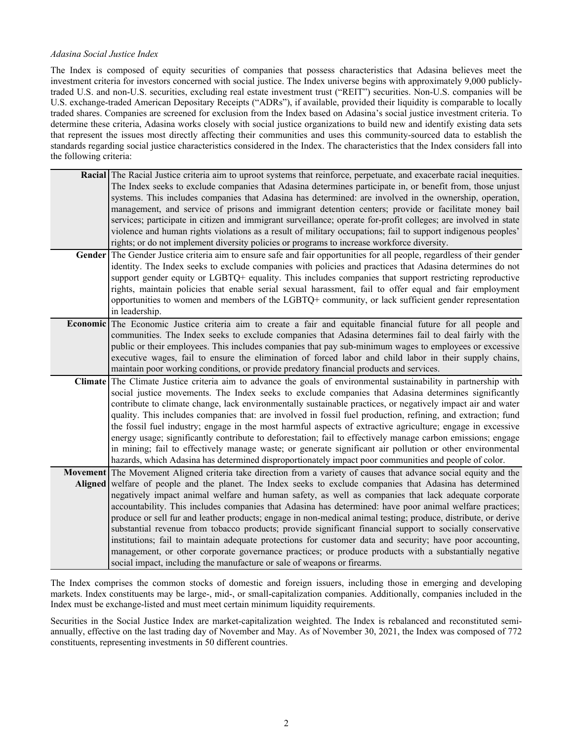#### *Adasina Social Justice Index*

The Index is composed of equity securities of companies that possess characteristics that Adasina believes meet the investment criteria for investors concerned with social justice. The Index universe begins with approximately 9,000 publiclytraded U.S. and non-U.S. securities, excluding real estate investment trust ("REIT") securities. Non-U.S. companies will be U.S. exchange-traded American Depositary Receipts ("ADRs"), if available, provided their liquidity is comparable to locally traded shares. Companies are screened for exclusion from the Index based on Adasina's social justice investment criteria. To determine these criteria, Adasina works closely with social justice organizations to build new and identify existing data sets that represent the issues most directly affecting their communities and uses this community-sourced data to establish the standards regarding social justice characteristics considered in the Index. The characteristics that the Index considers fall into the following criteria:

| Racial The Racial Justice criteria aim to uproot systems that reinforce, perpetuate, and exacerbate racial inequities.  |
|-------------------------------------------------------------------------------------------------------------------------|
| The Index seeks to exclude companies that Adasina determines participate in, or benefit from, those unjust              |
| systems. This includes companies that Adasina has determined: are involved in the ownership, operation,                 |
| management, and service of prisons and immigrant detention centers; provide or facilitate money bail                    |
| services; participate in citizen and immigrant surveillance; operate for-profit colleges; are involved in state         |
| violence and human rights violations as a result of military occupations; fail to support indigenous peoples'           |
| rights; or do not implement diversity policies or programs to increase workforce diversity.                             |
| Gender The Gender Justice criteria aim to ensure safe and fair opportunities for all people, regardless of their gender |
| identity. The Index seeks to exclude companies with policies and practices that Adasina determines do not               |
| support gender equity or LGBTQ+ equality. This includes companies that support restricting reproductive                 |
| rights, maintain policies that enable serial sexual harassment, fail to offer equal and fair employment                 |
| opportunities to women and members of the LGBTQ+ community, or lack sufficient gender representation                    |
| in leadership.                                                                                                          |
| <b>Economic</b> The Economic Justice criteria aim to create a fair and equitable financial future for all people and    |
| communities. The Index seeks to exclude companies that Adasina determines fail to deal fairly with the                  |
| public or their employees. This includes companies that pay sub-minimum wages to employees or excessive                 |
| executive wages, fail to ensure the elimination of forced labor and child labor in their supply chains,                 |
| maintain poor working conditions, or provide predatory financial products and services.                                 |
| Climate The Climate Justice criteria aim to advance the goals of environmental sustainability in partnership with       |
| social justice movements. The Index seeks to exclude companies that Adasina determines significantly                    |
| contribute to climate change, lack environmentally sustainable practices, or negatively impact air and water            |
| quality. This includes companies that: are involved in fossil fuel production, refining, and extraction; fund           |
| the fossil fuel industry; engage in the most harmful aspects of extractive agriculture; engage in excessive             |
| energy usage; significantly contribute to deforestation; fail to effectively manage carbon emissions; engage            |
| in mining; fail to effectively manage waste; or generate significant air pollution or other environmental               |
| hazards, which Adasina has determined disproportionately impact poor communities and people of color.                   |
| Movement The Movement Aligned criteria take direction from a variety of causes that advance social equity and the       |
| Aligned welfare of people and the planet. The Index seeks to exclude companies that Adasina has determined              |
| negatively impact animal welfare and human safety, as well as companies that lack adequate corporate                    |
| accountability. This includes companies that Adasina has determined: have poor animal welfare practices;                |
| produce or sell fur and leather products; engage in non-medical animal testing; produce, distribute, or derive          |
| substantial revenue from tobacco products; provide significant financial support to socially conservative               |
| institutions; fail to maintain adequate protections for customer data and security; have poor accounting,               |
| management, or other corporate governance practices; or produce products with a substantially negative                  |
| social impact, including the manufacture or sale of weapons or firearms.                                                |

The Index comprises the common stocks of domestic and foreign issuers, including those in emerging and developing markets. Index constituents may be large-, mid-, or small-capitalization companies. Additionally, companies included in the Index must be exchange-listed and must meet certain minimum liquidity requirements.

Securities in the Social Justice Index are market-capitalization weighted. The Index is rebalanced and reconstituted semiannually, effective on the last trading day of November and May. As of November 30, 2021, the Index was composed of 772 constituents, representing investments in 50 different countries.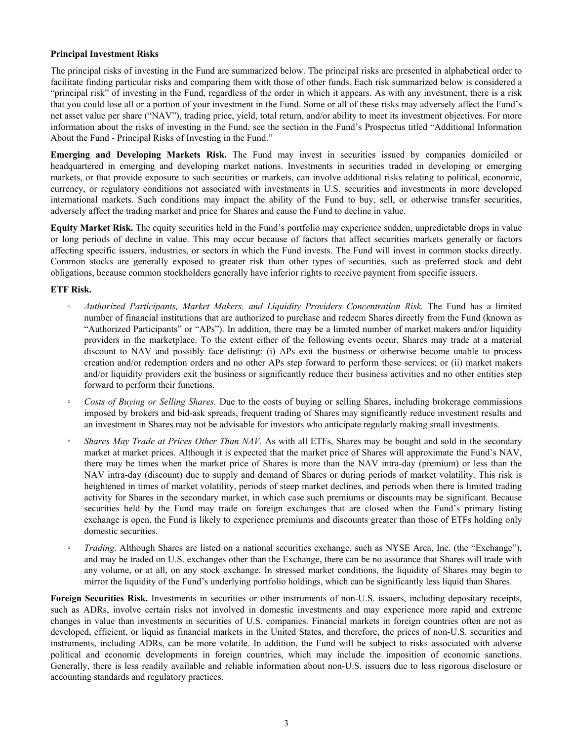## **Principal Investment Risks**

The principal risks of investing in the Fund are summarized below. The principal risks are presented in alphabetical order to facilitate finding particular risks and comparing them with those of other funds. Each risk summarized below is considered a "principal risk" of investing in the Fund, regardless of the order in which it appears. As with any investment, there is a risk that you could lose all or a portion of your investment in the Fund. Some or all of these risks may adversely affect the Fund's net asset value per share ("NAV"), trading price, yield, total return, and/or ability to meet its investment objectives. For more information about the risks of investing in the Fund, see the section in the Fund's Prospectus titled "Additional Information About the Fund - Principal Risks of Investing in the Fund."

**Emerging and Developing Markets Risk.** The Fund may invest in securities issued by companies domiciled or headquartered in emerging and developing market nations. Investments in securities traded in developing or emerging markets, or that provide exposure to such securities or markets, can involve additional risks relating to political, economic, currency, or regulatory conditions not associated with investments in U.S. securities and investments in more developed international markets. Such conditions may impact the ability of the Fund to buy, sell, or otherwise transfer securities, adversely affect the trading market and price for Shares and cause the Fund to decline in value.

**Equity Market Risk.** The equity securities held in the Fund's portfolio may experience sudden, unpredictable drops in value or long periods of decline in value. This may occur because of factors that affect securities markets generally or factors affecting specific issuers, industries, or sectors in which the Fund invests. The Fund will invest in common stocks directly. Common stocks are generally exposed to greater risk than other types of securities, such as preferred stock and debt obligations, because common stockholders generally have inferior rights to receive payment from specific issuers.

## **ETF Risk.**

- *◦ Authorized Participants, Market Makers, and Liquidity Providers Concentration Risk.* The Fund has a limited number of financial institutions that are authorized to purchase and redeem Shares directly from the Fund (known as "Authorized Participants" or "APs"). In addition, there may be a limited number of market makers and/or liquidity providers in the marketplace. To the extent either of the following events occur, Shares may trade at a material discount to NAV and possibly face delisting: (i) APs exit the business or otherwise become unable to process creation and/or redemption orders and no other APs step forward to perform these services; or (ii) market makers and/or liquidity providers exit the business or significantly reduce their business activities and no other entities step forward to perform their functions.
- *◦ Costs of Buying or Selling Shares.* Due to the costs of buying or selling Shares, including brokerage commissions imposed by brokers and bid-ask spreads, frequent trading of Shares may significantly reduce investment results and an investment in Shares may not be advisable for investors who anticipate regularly making small investments.
- *Shares May Trade at Prices Other Than NAV.* As with all ETFs, Shares may be bought and sold in the secondary market at market prices. Although it is expected that the market price of Shares will approximate the Fund's NAV, there may be times when the market price of Shares is more than the NAV intra-day (premium) or less than the NAV intra-day (discount) due to supply and demand of Shares or during periods of market volatility. This risk is heightened in times of market volatility, periods of steep market declines, and periods when there is limited trading activity for Shares in the secondary market, in which case such premiums or discounts may be significant. Because securities held by the Fund may trade on foreign exchanges that are closed when the Fund's primary listing exchange is open, the Fund is likely to experience premiums and discounts greater than those of ETFs holding only domestic securities.
- *Trading*. Although Shares are listed on a national securities exchange, such as NYSE Arca, Inc. (the "Exchange"), and may be traded on U.S. exchanges other than the Exchange, there can be no assurance that Shares will trade with any volume, or at all, on any stock exchange. In stressed market conditions, the liquidity of Shares may begin to mirror the liquidity of the Fund's underlying portfolio holdings, which can be significantly less liquid than Shares.

**Foreign Securities Risk.** Investments in securities or other instruments of non-U.S. issuers, including depositary receipts, such as ADRs, involve certain risks not involved in domestic investments and may experience more rapid and extreme changes in value than investments in securities of U.S. companies. Financial markets in foreign countries often are not as developed, efficient, or liquid as financial markets in the United States, and therefore, the prices of non-U.S. securities and instruments, including ADRs, can be more volatile. In addition, the Fund will be subject to risks associated with adverse political and economic developments in foreign countries, which may include the imposition of economic sanctions. Generally, there is less readily available and reliable information about non-U.S. issuers due to less rigorous disclosure or accounting standards and regulatory practices.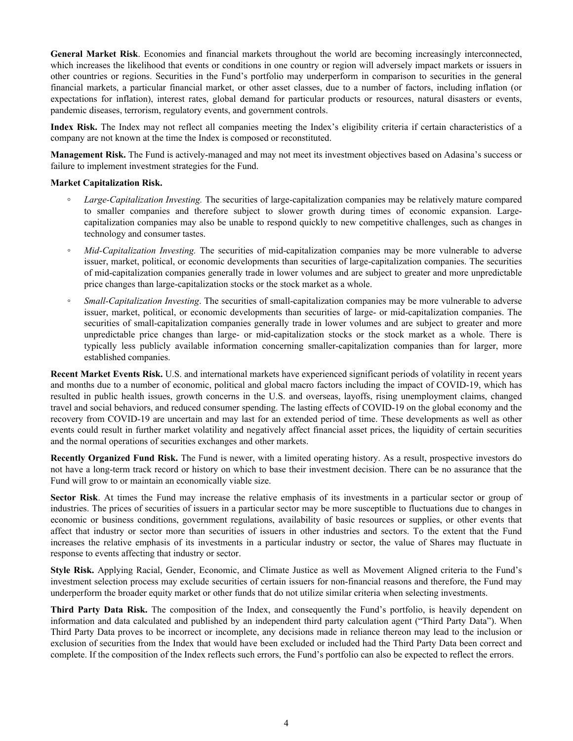**General Market Risk**. Economies and financial markets throughout the world are becoming increasingly interconnected, which increases the likelihood that events or conditions in one country or region will adversely impact markets or issuers in other countries or regions. Securities in the Fund's portfolio may underperform in comparison to securities in the general financial markets, a particular financial market, or other asset classes, due to a number of factors, including inflation (or expectations for inflation), interest rates, global demand for particular products or resources, natural disasters or events, pandemic diseases, terrorism, regulatory events, and government controls.

**Index Risk.** The Index may not reflect all companies meeting the Index's eligibility criteria if certain characteristics of a company are not known at the time the Index is composed or reconstituted.

**Management Risk.** The Fund is actively-managed and may not meet its investment objectives based on Adasina's success or failure to implement investment strategies for the Fund.

#### **Market Capitalization Risk.**

- **◦** *Large-Capitalization Investing.* The securities of large-capitalization companies may be relatively mature compared to smaller companies and therefore subject to slower growth during times of economic expansion. Largecapitalization companies may also be unable to respond quickly to new competitive challenges, such as changes in technology and consumer tastes.
- *Mid-Capitalization Investing.* The securities of mid-capitalization companies may be more vulnerable to adverse issuer, market, political, or economic developments than securities of large-capitalization companies. The securities of mid-capitalization companies generally trade in lower volumes and are subject to greater and more unpredictable price changes than large-capitalization stocks or the stock market as a whole.
- *Small-Capitalization Investing*. The securities of small-capitalization companies may be more vulnerable to adverse issuer, market, political, or economic developments than securities of large- or mid-capitalization companies. The securities of small-capitalization companies generally trade in lower volumes and are subject to greater and more unpredictable price changes than large- or mid-capitalization stocks or the stock market as a whole. There is typically less publicly available information concerning smaller-capitalization companies than for larger, more established companies.

**Recent Market Events Risk.** U.S. and international markets have experienced significant periods of volatility in recent years and months due to a number of economic, political and global macro factors including the impact of COVID-19, which has resulted in public health issues, growth concerns in the U.S. and overseas, layoffs, rising unemployment claims, changed travel and social behaviors, and reduced consumer spending. The lasting effects of COVID-19 on the global economy and the recovery from COVID-19 are uncertain and may last for an extended period of time. These developments as well as other events could result in further market volatility and negatively affect financial asset prices, the liquidity of certain securities and the normal operations of securities exchanges and other markets.

**Recently Organized Fund Risk.** The Fund is newer, with a limited operating history. As a result, prospective investors do not have a long-term track record or history on which to base their investment decision. There can be no assurance that the Fund will grow to or maintain an economically viable size.

**Sector Risk**. At times the Fund may increase the relative emphasis of its investments in a particular sector or group of industries. The prices of securities of issuers in a particular sector may be more susceptible to fluctuations due to changes in economic or business conditions, government regulations, availability of basic resources or supplies, or other events that affect that industry or sector more than securities of issuers in other industries and sectors. To the extent that the Fund increases the relative emphasis of its investments in a particular industry or sector, the value of Shares may fluctuate in response to events affecting that industry or sector.

**Style Risk.** Applying Racial, Gender, Economic, and Climate Justice as well as Movement Aligned criteria to the Fund's investment selection process may exclude securities of certain issuers for non-financial reasons and therefore, the Fund may underperform the broader equity market or other funds that do not utilize similar criteria when selecting investments.

**Third Party Data Risk.** The composition of the Index, and consequently the Fund's portfolio, is heavily dependent on information and data calculated and published by an independent third party calculation agent ("Third Party Data"). When Third Party Data proves to be incorrect or incomplete, any decisions made in reliance thereon may lead to the inclusion or exclusion of securities from the Index that would have been excluded or included had the Third Party Data been correct and complete. If the composition of the Index reflects such errors, the Fund's portfolio can also be expected to reflect the errors.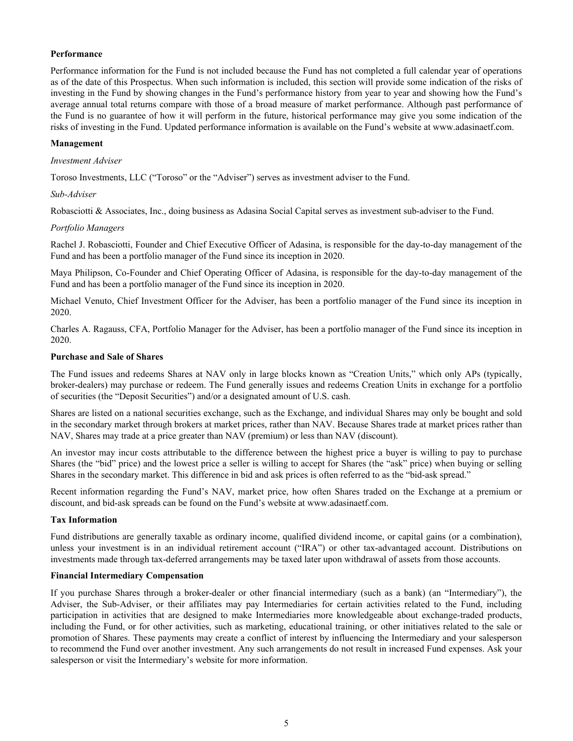## **Performance**

Performance information for the Fund is not included because the Fund has not completed a full calendar year of operations as of the date of this Prospectus. When such information is included, this section will provide some indication of the risks of investing in the Fund by showing changes in the Fund's performance history from year to year and showing how the Fund's average annual total returns compare with those of a broad measure of market performance. Although past performance of the Fund is no guarantee of how it will perform in the future, historical performance may give you some indication of the risks of investing in the Fund. Updated performance information is available on the Fund's website at www.adasinaetf.com.

#### **Management**

#### *Investment Adviser*

Toroso Investments, LLC ("Toroso" or the "Adviser") serves as investment adviser to the Fund.

#### *Sub-Adviser*

Robasciotti & Associates, Inc., doing business as Adasina Social Capital serves as investment sub-adviser to the Fund.

#### *Portfolio Managers*

Rachel J. Robasciotti, Founder and Chief Executive Officer of Adasina, is responsible for the day-to-day management of the Fund and has been a portfolio manager of the Fund since its inception in 2020.

Maya Philipson, Co-Founder and Chief Operating Officer of Adasina, is responsible for the day-to-day management of the Fund and has been a portfolio manager of the Fund since its inception in 2020.

Michael Venuto, Chief Investment Officer for the Adviser, has been a portfolio manager of the Fund since its inception in 2020.

Charles A. Ragauss, CFA, Portfolio Manager for the Adviser, has been a portfolio manager of the Fund since its inception in 2020.

## **Purchase and Sale of Shares**

The Fund issues and redeems Shares at NAV only in large blocks known as "Creation Units," which only APs (typically, broker-dealers) may purchase or redeem. The Fund generally issues and redeems Creation Units in exchange for a portfolio of securities (the "Deposit Securities") and/or a designated amount of U.S. cash.

Shares are listed on a national securities exchange, such as the Exchange, and individual Shares may only be bought and sold in the secondary market through brokers at market prices, rather than NAV. Because Shares trade at market prices rather than NAV, Shares may trade at a price greater than NAV (premium) or less than NAV (discount).

An investor may incur costs attributable to the difference between the highest price a buyer is willing to pay to purchase Shares (the "bid" price) and the lowest price a seller is willing to accept for Shares (the "ask" price) when buying or selling Shares in the secondary market. This difference in bid and ask prices is often referred to as the "bid-ask spread."

Recent information regarding the Fund's NAV, market price, how often Shares traded on the Exchange at a premium or discount, and bid-ask spreads can be found on the Fund's website at www.adasinaetf.com.

## **Tax Information**

Fund distributions are generally taxable as ordinary income, qualified dividend income, or capital gains (or a combination), unless your investment is in an individual retirement account ("IRA") or other tax-advantaged account. Distributions on investments made through tax-deferred arrangements may be taxed later upon withdrawal of assets from those accounts.

## **Financial Intermediary Compensation**

If you purchase Shares through a broker-dealer or other financial intermediary (such as a bank) (an "Intermediary"), the Adviser, the Sub-Adviser, or their affiliates may pay Intermediaries for certain activities related to the Fund, including participation in activities that are designed to make Intermediaries more knowledgeable about exchange-traded products, including the Fund, or for other activities, such as marketing, educational training, or other initiatives related to the sale or promotion of Shares. These payments may create a conflict of interest by influencing the Intermediary and your salesperson to recommend the Fund over another investment. Any such arrangements do not result in increased Fund expenses. Ask your salesperson or visit the Intermediary's website for more information.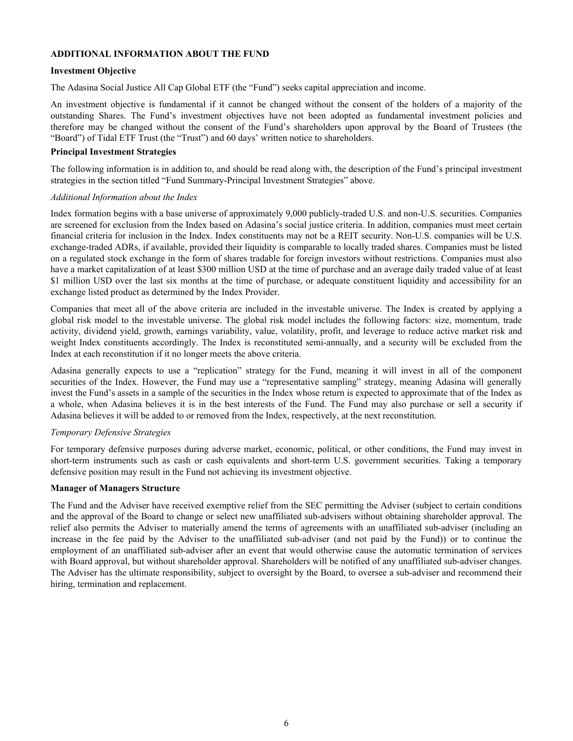## <span id="page-7-0"></span>**ADDITIONAL INFORMATION ABOUT THE FUND**

#### **Investment Objective**

The Adasina Social Justice All Cap Global ETF (the "Fund") seeks capital appreciation and income.

An investment objective is fundamental if it cannot be changed without the consent of the holders of a majority of the outstanding Shares. The Fund's investment objectives have not been adopted as fundamental investment policies and therefore may be changed without the consent of the Fund's shareholders upon approval by the Board of Trustees (the "Board") of Tidal ETF Trust (the "Trust") and 60 days' written notice to shareholders.

#### **Principal Investment Strategies**

The following information is in addition to, and should be read along with, the description of the Fund's principal investment strategies in the section titled "Fund Summary-Principal Investment Strategies" above.

#### *Additional Information about the Index*

Index formation begins with a base universe of approximately 9,000 publicly-traded U.S. and non-U.S. securities. Companies are screened for exclusion from the Index based on Adasina's social justice criteria. In addition, companies must meet certain financial criteria for inclusion in the Index. Index constituents may not be a REIT security. Non-U.S. companies will be U.S. exchange-traded ADRs, if available, provided their liquidity is comparable to locally traded shares. Companies must be listed on a regulated stock exchange in the form of shares tradable for foreign investors without restrictions. Companies must also have a market capitalization of at least \$300 million USD at the time of purchase and an average daily traded value of at least \$1 million USD over the last six months at the time of purchase, or adequate constituent liquidity and accessibility for an exchange listed product as determined by the Index Provider.

Companies that meet all of the above criteria are included in the investable universe. The Index is created by applying a global risk model to the investable universe. The global risk model includes the following factors: size, momentum, trade activity, dividend yield, growth, earnings variability, value, volatility, profit, and leverage to reduce active market risk and weight Index constituents accordingly. The Index is reconstituted semi-annually, and a security will be excluded from the Index at each reconstitution if it no longer meets the above criteria.

Adasina generally expects to use a "replication" strategy for the Fund, meaning it will invest in all of the component securities of the Index. However, the Fund may use a "representative sampling" strategy, meaning Adasina will generally invest the Fund's assets in a sample of the securities in the Index whose return is expected to approximate that of the Index as a whole, when Adasina believes it is in the best interests of the Fund. The Fund may also purchase or sell a security if Adasina believes it will be added to or removed from the Index, respectively, at the next reconstitution.

## *Temporary Defensive Strategies*

For temporary defensive purposes during adverse market, economic, political, or other conditions, the Fund may invest in short-term instruments such as cash or cash equivalents and short-term U.S. government securities. Taking a temporary defensive position may result in the Fund not achieving its investment objective.

#### **Manager of Managers Structure**

The Fund and the Adviser have received exemptive relief from the SEC permitting the Adviser (subject to certain conditions and the approval of the Board to change or select new unaffiliated sub-advisers without obtaining shareholder approval. The relief also permits the Adviser to materially amend the terms of agreements with an unaffiliated sub-adviser (including an increase in the fee paid by the Adviser to the unaffiliated sub-adviser (and not paid by the Fund)) or to continue the employment of an unaffiliated sub-adviser after an event that would otherwise cause the automatic termination of services with Board approval, but without shareholder approval. Shareholders will be notified of any unaffiliated sub-adviser changes. The Adviser has the ultimate responsibility, subject to oversight by the Board, to oversee a sub-adviser and recommend their hiring, termination and replacement.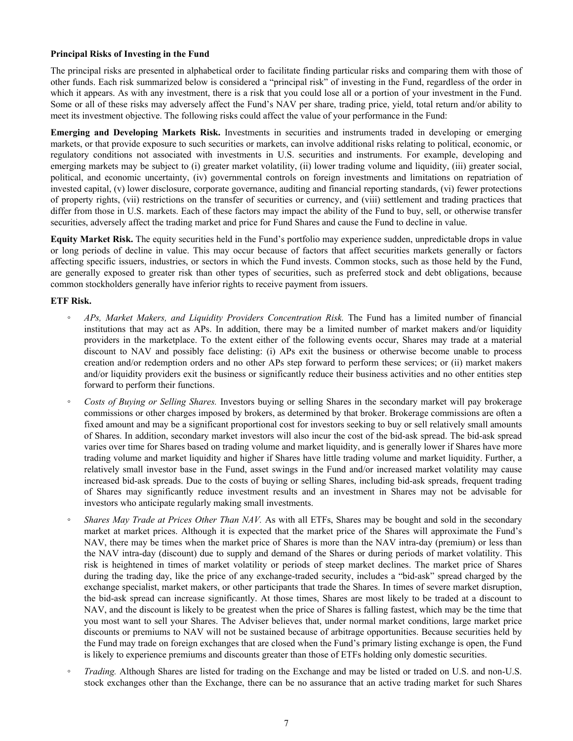## **Principal Risks of Investing in the Fund**

The principal risks are presented in alphabetical order to facilitate finding particular risks and comparing them with those of other funds. Each risk summarized below is considered a "principal risk" of investing in the Fund, regardless of the order in which it appears. As with any investment, there is a risk that you could lose all or a portion of your investment in the Fund. Some or all of these risks may adversely affect the Fund's NAV per share, trading price, yield, total return and/or ability to meet its investment objective. The following risks could affect the value of your performance in the Fund:

**Emerging and Developing Markets Risk.** Investments in securities and instruments traded in developing or emerging markets, or that provide exposure to such securities or markets, can involve additional risks relating to political, economic, or regulatory conditions not associated with investments in U.S. securities and instruments. For example, developing and emerging markets may be subject to (i) greater market volatility, (ii) lower trading volume and liquidity, (iii) greater social, political, and economic uncertainty, (iv) governmental controls on foreign investments and limitations on repatriation of invested capital, (v) lower disclosure, corporate governance, auditing and financial reporting standards, (vi) fewer protections of property rights, (vii) restrictions on the transfer of securities or currency, and (viii) settlement and trading practices that differ from those in U.S. markets. Each of these factors may impact the ability of the Fund to buy, sell, or otherwise transfer securities, adversely affect the trading market and price for Fund Shares and cause the Fund to decline in value.

**Equity Market Risk.** The equity securities held in the Fund's portfolio may experience sudden, unpredictable drops in value or long periods of decline in value. This may occur because of factors that affect securities markets generally or factors affecting specific issuers, industries, or sectors in which the Fund invests. Common stocks, such as those held by the Fund, are generally exposed to greater risk than other types of securities, such as preferred stock and debt obligations, because common stockholders generally have inferior rights to receive payment from issuers.

## **ETF Risk.**

- *◦ APs, Market Makers, and Liquidity Providers Concentration Risk.* The Fund has a limited number of financial institutions that may act as APs. In addition, there may be a limited number of market makers and/or liquidity providers in the marketplace. To the extent either of the following events occur, Shares may trade at a material discount to NAV and possibly face delisting: (i) APs exit the business or otherwise become unable to process creation and/or redemption orders and no other APs step forward to perform these services; or (ii) market makers and/or liquidity providers exit the business or significantly reduce their business activities and no other entities step forward to perform their functions.
- *◦ Costs of Buying or Selling Shares.* Investors buying or selling Shares in the secondary market will pay brokerage commissions or other charges imposed by brokers, as determined by that broker. Brokerage commissions are often a fixed amount and may be a significant proportional cost for investors seeking to buy or sell relatively small amounts of Shares. In addition, secondary market investors will also incur the cost of the bid-ask spread. The bid-ask spread varies over time for Shares based on trading volume and market liquidity, and is generally lower if Shares have more trading volume and market liquidity and higher if Shares have little trading volume and market liquidity. Further, a relatively small investor base in the Fund, asset swings in the Fund and/or increased market volatility may cause increased bid-ask spreads. Due to the costs of buying or selling Shares, including bid-ask spreads, frequent trading of Shares may significantly reduce investment results and an investment in Shares may not be advisable for investors who anticipate regularly making small investments.
- *Shares May Trade at Prices Other Than NAV.* As with all ETFs, Shares may be bought and sold in the secondary market at market prices. Although it is expected that the market price of the Shares will approximate the Fund's NAV, there may be times when the market price of Shares is more than the NAV intra-day (premium) or less than the NAV intra-day (discount) due to supply and demand of the Shares or during periods of market volatility. This risk is heightened in times of market volatility or periods of steep market declines. The market price of Shares during the trading day, like the price of any exchange-traded security, includes a "bid-ask" spread charged by the exchange specialist, market makers, or other participants that trade the Shares. In times of severe market disruption, the bid-ask spread can increase significantly. At those times, Shares are most likely to be traded at a discount to NAV, and the discount is likely to be greatest when the price of Shares is falling fastest, which may be the time that you most want to sell your Shares. The Adviser believes that, under normal market conditions, large market price discounts or premiums to NAV will not be sustained because of arbitrage opportunities. Because securities held by the Fund may trade on foreign exchanges that are closed when the Fund's primary listing exchange is open, the Fund is likely to experience premiums and discounts greater than those of ETFs holding only domestic securities.
- *Trading.* Although Shares are listed for trading on the Exchange and may be listed or traded on U.S. and non-U.S. stock exchanges other than the Exchange, there can be no assurance that an active trading market for such Shares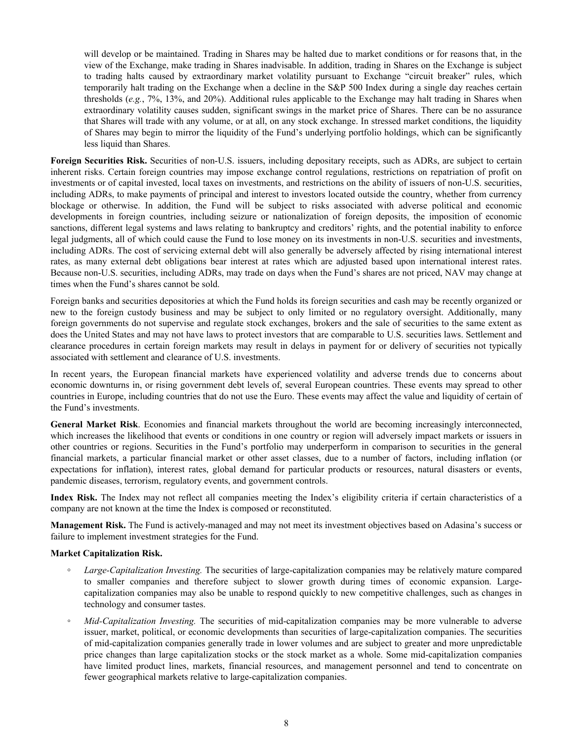will develop or be maintained. Trading in Shares may be halted due to market conditions or for reasons that, in the view of the Exchange, make trading in Shares inadvisable. In addition, trading in Shares on the Exchange is subject to trading halts caused by extraordinary market volatility pursuant to Exchange "circuit breaker" rules, which temporarily halt trading on the Exchange when a decline in the S&P 500 Index during a single day reaches certain thresholds (*e.g.*, 7%, 13%, and 20%). Additional rules applicable to the Exchange may halt trading in Shares when extraordinary volatility causes sudden, significant swings in the market price of Shares. There can be no assurance that Shares will trade with any volume, or at all, on any stock exchange. In stressed market conditions, the liquidity of Shares may begin to mirror the liquidity of the Fund's underlying portfolio holdings, which can be significantly less liquid than Shares.

**Foreign Securities Risk.** Securities of non-U.S. issuers, including depositary receipts, such as ADRs, are subject to certain inherent risks. Certain foreign countries may impose exchange control regulations, restrictions on repatriation of profit on investments or of capital invested, local taxes on investments, and restrictions on the ability of issuers of non-U.S. securities, including ADRs, to make payments of principal and interest to investors located outside the country, whether from currency blockage or otherwise. In addition, the Fund will be subject to risks associated with adverse political and economic developments in foreign countries, including seizure or nationalization of foreign deposits, the imposition of economic sanctions, different legal systems and laws relating to bankruptcy and creditors' rights, and the potential inability to enforce legal judgments, all of which could cause the Fund to lose money on its investments in non-U.S. securities and investments, including ADRs. The cost of servicing external debt will also generally be adversely affected by rising international interest rates, as many external debt obligations bear interest at rates which are adjusted based upon international interest rates. Because non-U.S. securities, including ADRs, may trade on days when the Fund's shares are not priced, NAV may change at times when the Fund's shares cannot be sold.

Foreign banks and securities depositories at which the Fund holds its foreign securities and cash may be recently organized or new to the foreign custody business and may be subject to only limited or no regulatory oversight. Additionally, many foreign governments do not supervise and regulate stock exchanges, brokers and the sale of securities to the same extent as does the United States and may not have laws to protect investors that are comparable to U.S. securities laws. Settlement and clearance procedures in certain foreign markets may result in delays in payment for or delivery of securities not typically associated with settlement and clearance of U.S. investments.

In recent years, the European financial markets have experienced volatility and adverse trends due to concerns about economic downturns in, or rising government debt levels of, several European countries. These events may spread to other countries in Europe, including countries that do not use the Euro. These events may affect the value and liquidity of certain of the Fund's investments.

**General Market Risk**. Economies and financial markets throughout the world are becoming increasingly interconnected, which increases the likelihood that events or conditions in one country or region will adversely impact markets or issuers in other countries or regions. Securities in the Fund's portfolio may underperform in comparison to securities in the general financial markets, a particular financial market or other asset classes, due to a number of factors, including inflation (or expectations for inflation), interest rates, global demand for particular products or resources, natural disasters or events, pandemic diseases, terrorism, regulatory events, and government controls.

**Index Risk.** The Index may not reflect all companies meeting the Index's eligibility criteria if certain characteristics of a company are not known at the time the Index is composed or reconstituted.

**Management Risk.** The Fund is actively-managed and may not meet its investment objectives based on Adasina's success or failure to implement investment strategies for the Fund.

#### **Market Capitalization Risk.**

- **◦** *Large-Capitalization Investing.* The securities of large-capitalization companies may be relatively mature compared to smaller companies and therefore subject to slower growth during times of economic expansion. Largecapitalization companies may also be unable to respond quickly to new competitive challenges, such as changes in technology and consumer tastes.
- *Mid-Capitalization Investing.* The securities of mid-capitalization companies may be more vulnerable to adverse issuer, market, political, or economic developments than securities of large-capitalization companies. The securities of mid-capitalization companies generally trade in lower volumes and are subject to greater and more unpredictable price changes than large capitalization stocks or the stock market as a whole. Some mid-capitalization companies have limited product lines, markets, financial resources, and management personnel and tend to concentrate on fewer geographical markets relative to large-capitalization companies.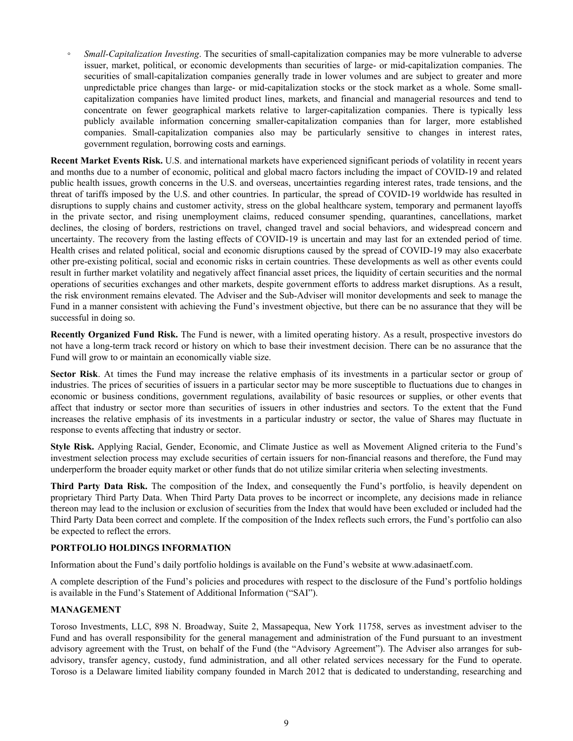<span id="page-10-0"></span>*Small-Capitalization Investing*. The securities of small-capitalization companies may be more vulnerable to adverse issuer, market, political, or economic developments than securities of large- or mid-capitalization companies. The securities of small-capitalization companies generally trade in lower volumes and are subject to greater and more unpredictable price changes than large- or mid-capitalization stocks or the stock market as a whole. Some smallcapitalization companies have limited product lines, markets, and financial and managerial resources and tend to concentrate on fewer geographical markets relative to larger-capitalization companies. There is typically less publicly available information concerning smaller-capitalization companies than for larger, more established companies. Small-capitalization companies also may be particularly sensitive to changes in interest rates, government regulation, borrowing costs and earnings.

**Recent Market Events Risk.** U.S. and international markets have experienced significant periods of volatility in recent years and months due to a number of economic, political and global macro factors including the impact of COVID-19 and related public health issues, growth concerns in the U.S. and overseas, uncertainties regarding interest rates, trade tensions, and the threat of tariffs imposed by the U.S. and other countries. In particular, the spread of COVID-19 worldwide has resulted in disruptions to supply chains and customer activity, stress on the global healthcare system, temporary and permanent layoffs in the private sector, and rising unemployment claims, reduced consumer spending, quarantines, cancellations, market declines, the closing of borders, restrictions on travel, changed travel and social behaviors, and widespread concern and uncertainty. The recovery from the lasting effects of COVID-19 is uncertain and may last for an extended period of time. Health crises and related political, social and economic disruptions caused by the spread of COVID-19 may also exacerbate other pre-existing political, social and economic risks in certain countries. These developments as well as other events could result in further market volatility and negatively affect financial asset prices, the liquidity of certain securities and the normal operations of securities exchanges and other markets, despite government efforts to address market disruptions. As a result, the risk environment remains elevated. The Adviser and the Sub-Adviser will monitor developments and seek to manage the Fund in a manner consistent with achieving the Fund's investment objective, but there can be no assurance that they will be successful in doing so.

**Recently Organized Fund Risk.** The Fund is newer, with a limited operating history. As a result, prospective investors do not have a long-term track record or history on which to base their investment decision. There can be no assurance that the Fund will grow to or maintain an economically viable size.

**Sector Risk**. At times the Fund may increase the relative emphasis of its investments in a particular sector or group of industries. The prices of securities of issuers in a particular sector may be more susceptible to fluctuations due to changes in economic or business conditions, government regulations, availability of basic resources or supplies, or other events that affect that industry or sector more than securities of issuers in other industries and sectors. To the extent that the Fund increases the relative emphasis of its investments in a particular industry or sector, the value of Shares may fluctuate in response to events affecting that industry or sector.

**Style Risk.** Applying Racial, Gender, Economic, and Climate Justice as well as Movement Aligned criteria to the Fund's investment selection process may exclude securities of certain issuers for non-financial reasons and therefore, the Fund may underperform the broader equity market or other funds that do not utilize similar criteria when selecting investments.

**Third Party Data Risk.** The composition of the Index, and consequently the Fund's portfolio, is heavily dependent on proprietary Third Party Data. When Third Party Data proves to be incorrect or incomplete, any decisions made in reliance thereon may lead to the inclusion or exclusion of securities from the Index that would have been excluded or included had the Third Party Data been correct and complete. If the composition of the Index reflects such errors, the Fund's portfolio can also be expected to reflect the errors.

## **PORTFOLIO HOLDINGS INFORMATION**

Information about the Fund's daily portfolio holdings is available on the Fund's website at www.adasinaetf.com.

A complete description of the Fund's policies and procedures with respect to the disclosure of the Fund's portfolio holdings is available in the Fund's Statement of Additional Information ("SAI").

## **MANAGEMENT**

Toroso Investments, LLC, 898 N. Broadway, Suite 2, Massapequa, New York 11758, serves as investment adviser to the Fund and has overall responsibility for the general management and administration of the Fund pursuant to an investment advisory agreement with the Trust, on behalf of the Fund (the "Advisory Agreement"). The Adviser also arranges for subadvisory, transfer agency, custody, fund administration, and all other related services necessary for the Fund to operate. Toroso is a Delaware limited liability company founded in March 2012 that is dedicated to understanding, researching and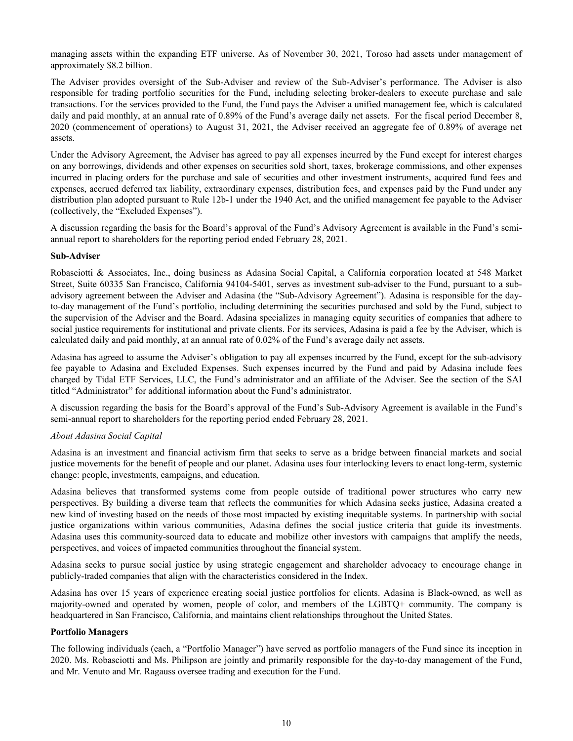managing assets within the expanding ETF universe. As of November 30, 2021, Toroso had assets under management of approximately \$8.2 billion.

The Adviser provides oversight of the Sub-Adviser and review of the Sub-Adviser's performance. The Adviser is also responsible for trading portfolio securities for the Fund, including selecting broker-dealers to execute purchase and sale transactions. For the services provided to the Fund, the Fund pays the Adviser a unified management fee, which is calculated daily and paid monthly, at an annual rate of 0.89% of the Fund's average daily net assets. For the fiscal period December 8, 2020 (commencement of operations) to August 31, 2021, the Adviser received an aggregate fee of 0.89% of average net assets.

Under the Advisory Agreement, the Adviser has agreed to pay all expenses incurred by the Fund except for interest charges on any borrowings, dividends and other expenses on securities sold short, taxes, brokerage commissions, and other expenses incurred in placing orders for the purchase and sale of securities and other investment instruments, acquired fund fees and expenses, accrued deferred tax liability, extraordinary expenses, distribution fees, and expenses paid by the Fund under any distribution plan adopted pursuant to Rule 12b-1 under the 1940 Act, and the unified management fee payable to the Adviser (collectively, the "Excluded Expenses").

A discussion regarding the basis for the Board's approval of the Fund's Advisory Agreement is available in the Fund's semiannual report to shareholders for the reporting period ended February 28, 2021.

#### **Sub-Adviser**

Robasciotti & Associates, Inc., doing business as Adasina Social Capital, a California corporation located at 548 Market Street, Suite 60335 San Francisco, California 94104-5401, serves as investment sub-adviser to the Fund, pursuant to a subadvisory agreement between the Adviser and Adasina (the "Sub-Advisory Agreement"). Adasina is responsible for the dayto-day management of the Fund's portfolio, including determining the securities purchased and sold by the Fund, subject to the supervision of the Adviser and the Board. Adasina specializes in managing equity securities of companies that adhere to social justice requirements for institutional and private clients. For its services, Adasina is paid a fee by the Adviser, which is calculated daily and paid monthly, at an annual rate of 0.02% of the Fund's average daily net assets.

Adasina has agreed to assume the Adviser's obligation to pay all expenses incurred by the Fund, except for the sub-advisory fee payable to Adasina and Excluded Expenses. Such expenses incurred by the Fund and paid by Adasina include fees charged by Tidal ETF Services, LLC, the Fund's administrator and an affiliate of the Adviser. See the section of the SAI titled "Administrator" for additional information about the Fund's administrator.

A discussion regarding the basis for the Board's approval of the Fund's Sub-Advisory Agreement is available in the Fund's semi-annual report to shareholders for the reporting period ended February 28, 2021.

## *About Adasina Social Capital*

Adasina is an investment and financial activism firm that seeks to serve as a bridge between financial markets and social justice movements for the benefit of people and our planet. Adasina uses four interlocking levers to enact long-term, systemic change: people, investments, campaigns, and education.

Adasina believes that transformed systems come from people outside of traditional power structures who carry new perspectives. By building a diverse team that reflects the communities for which Adasina seeks justice, Adasina created a new kind of investing based on the needs of those most impacted by existing inequitable systems. In partnership with social justice organizations within various communities, Adasina defines the social justice criteria that guide its investments. Adasina uses this community-sourced data to educate and mobilize other investors with campaigns that amplify the needs, perspectives, and voices of impacted communities throughout the financial system.

Adasina seeks to pursue social justice by using strategic engagement and shareholder advocacy to encourage change in publicly-traded companies that align with the characteristics considered in the Index.

Adasina has over 15 years of experience creating social justice portfolios for clients. Adasina is Black-owned, as well as majority-owned and operated by women, people of color, and members of the LGBTQ+ community. The company is headquartered in San Francisco, California, and maintains client relationships throughout the United States.

#### **Portfolio Managers**

The following individuals (each, a "Portfolio Manager") have served as portfolio managers of the Fund since its inception in 2020. Ms. Robasciotti and Ms. Philipson are jointly and primarily responsible for the day-to-day management of the Fund, and Mr. Venuto and Mr. Ragauss oversee trading and execution for the Fund.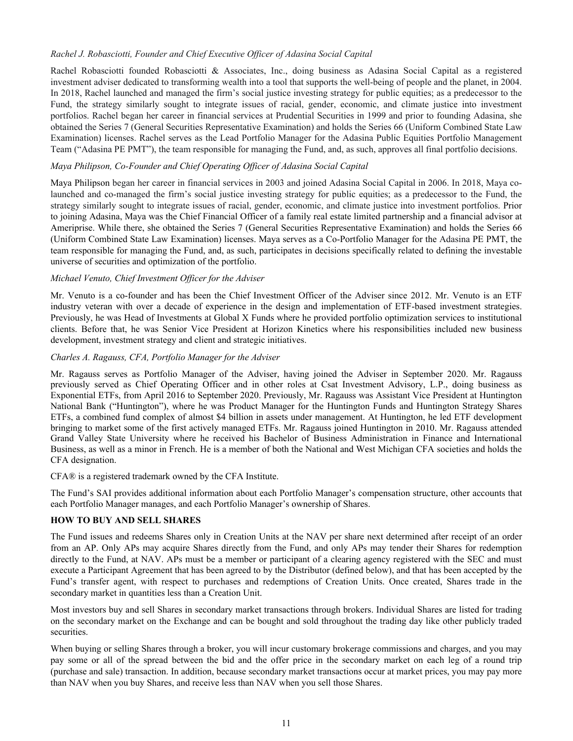## <span id="page-12-0"></span>*Rachel J. Robasciotti, Founder and Chief Executive Officer of Adasina Social Capital*

Rachel Robasciotti founded Robasciotti & Associates, Inc., doing business as Adasina Social Capital as a registered investment adviser dedicated to transforming wealth into a tool that supports the well-being of people and the planet, in 2004. In 2018, Rachel launched and managed the firm's social justice investing strategy for public equities; as a predecessor to the Fund, the strategy similarly sought to integrate issues of racial, gender, economic, and climate justice into investment portfolios. Rachel began her career in financial services at Prudential Securities in 1999 and prior to founding Adasina, she obtained the Series 7 (General Securities Representative Examination) and holds the Series 66 (Uniform Combined State Law Examination) licenses. Rachel serves as the Lead Portfolio Manager for the Adasina Public Equities Portfolio Management Team ("Adasina PE PMT"), the team responsible for managing the Fund, and, as such, approves all final portfolio decisions.

## *Maya Philipson, Co-Founder and Chief Operating Officer of Adasina Social Capital*

Maya Philipson began her career in financial services in 2003 and joined Adasina Social Capital in 2006. In 2018, Maya colaunched and co-managed the firm's social justice investing strategy for public equities; as a predecessor to the Fund, the strategy similarly sought to integrate issues of racial, gender, economic, and climate justice into investment portfolios. Prior to joining Adasina, Maya was the Chief Financial Officer of a family real estate limited partnership and a financial advisor at Ameriprise. While there, she obtained the Series 7 (General Securities Representative Examination) and holds the Series 66 (Uniform Combined State Law Examination) licenses. Maya serves as a Co-Portfolio Manager for the Adasina PE PMT, the team responsible for managing the Fund, and, as such, participates in decisions specifically related to defining the investable universe of securities and optimization of the portfolio.

## *Michael Venuto, Chief Investment Officer for the Adviser*

Mr. Venuto is a co-founder and has been the Chief Investment Officer of the Adviser since 2012. Mr. Venuto is an ETF industry veteran with over a decade of experience in the design and implementation of ETF-based investment strategies. Previously, he was Head of Investments at Global X Funds where he provided portfolio optimization services to institutional clients. Before that, he was Senior Vice President at Horizon Kinetics where his responsibilities included new business development, investment strategy and client and strategic initiatives.

## *Charles A. Ragauss, CFA, Portfolio Manager for the Adviser*

Mr. Ragauss serves as Portfolio Manager of the Adviser, having joined the Adviser in September 2020. Mr. Ragauss previously served as Chief Operating Officer and in other roles at Csat Investment Advisory, L.P., doing business as Exponential ETFs, from April 2016 to September 2020. Previously, Mr. Ragauss was Assistant Vice President at Huntington National Bank ("Huntington"), where he was Product Manager for the Huntington Funds and Huntington Strategy Shares ETFs, a combined fund complex of almost \$4 billion in assets under management. At Huntington, he led ETF development bringing to market some of the first actively managed ETFs. Mr. Ragauss joined Huntington in 2010. Mr. Ragauss attended Grand Valley State University where he received his Bachelor of Business Administration in Finance and International Business, as well as a minor in French. He is a member of both the National and West Michigan CFA societies and holds the CFA designation.

CFA® is a registered trademark owned by the CFA Institute.

The Fund's SAI provides additional information about each Portfolio Manager's compensation structure, other accounts that each Portfolio Manager manages, and each Portfolio Manager's ownership of Shares.

## **HOW TO BUY AND SELL SHARES**

The Fund issues and redeems Shares only in Creation Units at the NAV per share next determined after receipt of an order from an AP. Only APs may acquire Shares directly from the Fund, and only APs may tender their Shares for redemption directly to the Fund, at NAV. APs must be a member or participant of a clearing agency registered with the SEC and must execute a Participant Agreement that has been agreed to by the Distributor (defined below), and that has been accepted by the Fund's transfer agent, with respect to purchases and redemptions of Creation Units. Once created, Shares trade in the secondary market in quantities less than a Creation Unit.

Most investors buy and sell Shares in secondary market transactions through brokers. Individual Shares are listed for trading on the secondary market on the Exchange and can be bought and sold throughout the trading day like other publicly traded securities.

When buying or selling Shares through a broker, you will incur customary brokerage commissions and charges, and you may pay some or all of the spread between the bid and the offer price in the secondary market on each leg of a round trip (purchase and sale) transaction. In addition, because secondary market transactions occur at market prices, you may pay more than NAV when you buy Shares, and receive less than NAV when you sell those Shares.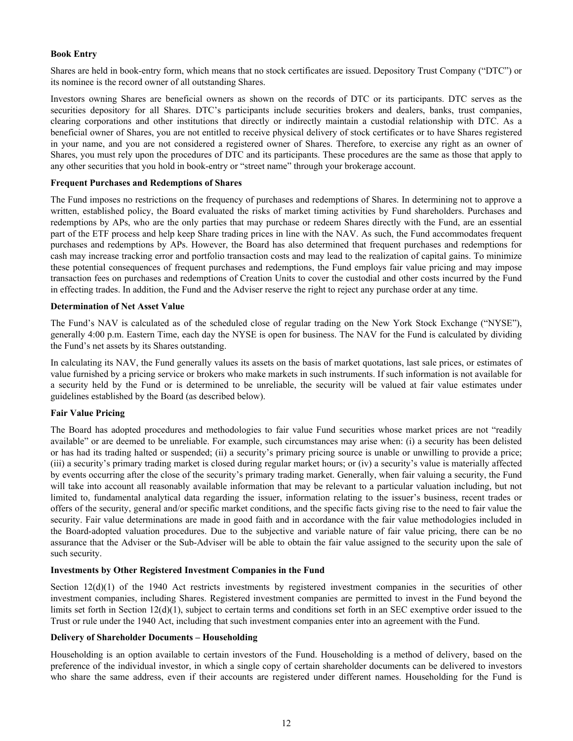## **Book Entry**

Shares are held in book-entry form, which means that no stock certificates are issued. Depository Trust Company ("DTC") or its nominee is the record owner of all outstanding Shares.

Investors owning Shares are beneficial owners as shown on the records of DTC or its participants. DTC serves as the securities depository for all Shares. DTC's participants include securities brokers and dealers, banks, trust companies, clearing corporations and other institutions that directly or indirectly maintain a custodial relationship with DTC. As a beneficial owner of Shares, you are not entitled to receive physical delivery of stock certificates or to have Shares registered in your name, and you are not considered a registered owner of Shares. Therefore, to exercise any right as an owner of Shares, you must rely upon the procedures of DTC and its participants. These procedures are the same as those that apply to any other securities that you hold in book-entry or "street name" through your brokerage account.

#### **Frequent Purchases and Redemptions of Shares**

The Fund imposes no restrictions on the frequency of purchases and redemptions of Shares. In determining not to approve a written, established policy, the Board evaluated the risks of market timing activities by Fund shareholders. Purchases and redemptions by APs, who are the only parties that may purchase or redeem Shares directly with the Fund, are an essential part of the ETF process and help keep Share trading prices in line with the NAV. As such, the Fund accommodates frequent purchases and redemptions by APs. However, the Board has also determined that frequent purchases and redemptions for cash may increase tracking error and portfolio transaction costs and may lead to the realization of capital gains. To minimize these potential consequences of frequent purchases and redemptions, the Fund employs fair value pricing and may impose transaction fees on purchases and redemptions of Creation Units to cover the custodial and other costs incurred by the Fund in effecting trades. In addition, the Fund and the Adviser reserve the right to reject any purchase order at any time.

#### **Determination of Net Asset Value**

The Fund's NAV is calculated as of the scheduled close of regular trading on the New York Stock Exchange ("NYSE"), generally 4:00 p.m. Eastern Time, each day the NYSE is open for business. The NAV for the Fund is calculated by dividing the Fund's net assets by its Shares outstanding.

In calculating its NAV, the Fund generally values its assets on the basis of market quotations, last sale prices, or estimates of value furnished by a pricing service or brokers who make markets in such instruments. If such information is not available for a security held by the Fund or is determined to be unreliable, the security will be valued at fair value estimates under guidelines established by the Board (as described below).

#### **Fair Value Pricing**

The Board has adopted procedures and methodologies to fair value Fund securities whose market prices are not "readily available" or are deemed to be unreliable. For example, such circumstances may arise when: (i) a security has been delisted or has had its trading halted or suspended; (ii) a security's primary pricing source is unable or unwilling to provide a price; (iii) a security's primary trading market is closed during regular market hours; or (iv) a security's value is materially affected by events occurring after the close of the security's primary trading market. Generally, when fair valuing a security, the Fund will take into account all reasonably available information that may be relevant to a particular valuation including, but not limited to, fundamental analytical data regarding the issuer, information relating to the issuer's business, recent trades or offers of the security, general and/or specific market conditions, and the specific facts giving rise to the need to fair value the security. Fair value determinations are made in good faith and in accordance with the fair value methodologies included in the Board-adopted valuation procedures. Due to the subjective and variable nature of fair value pricing, there can be no assurance that the Adviser or the Sub-Adviser will be able to obtain the fair value assigned to the security upon the sale of such security.

#### **Investments by Other Registered Investment Companies in the Fund**

Section 12(d)(1) of the 1940 Act restricts investments by registered investment companies in the securities of other investment companies, including Shares. Registered investment companies are permitted to invest in the Fund beyond the limits set forth in Section  $12(d)(1)$ , subject to certain terms and conditions set forth in an SEC exemptive order issued to the Trust or rule under the 1940 Act, including that such investment companies enter into an agreement with the Fund.

#### **Delivery of Shareholder Documents – Householding**

Householding is an option available to certain investors of the Fund. Householding is a method of delivery, based on the preference of the individual investor, in which a single copy of certain shareholder documents can be delivered to investors who share the same address, even if their accounts are registered under different names. Householding for the Fund is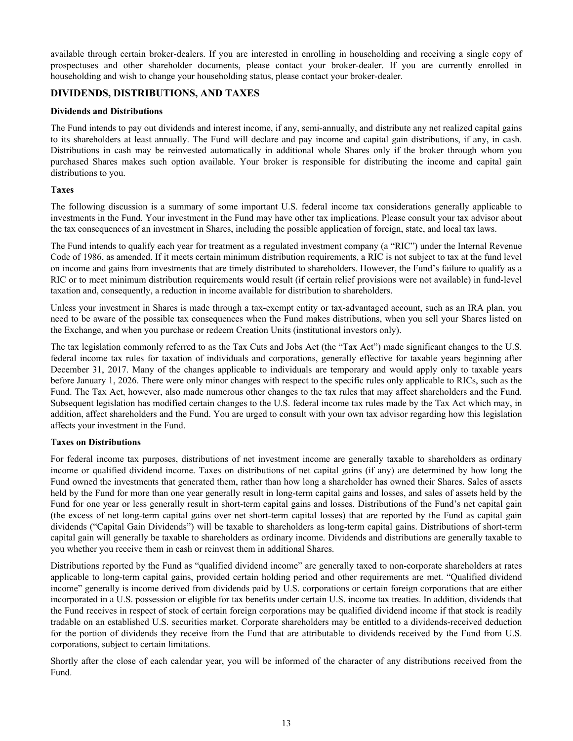<span id="page-14-0"></span>available through certain broker-dealers. If you are interested in enrolling in householding and receiving a single copy of prospectuses and other shareholder documents, please contact your broker-dealer. If you are currently enrolled in householding and wish to change your householding status, please contact your broker-dealer.

## **DIVIDENDS, DISTRIBUTIONS, AND TAXES**

## **Dividends and Distributions**

The Fund intends to pay out dividends and interest income, if any, semi-annually, and distribute any net realized capital gains to its shareholders at least annually. The Fund will declare and pay income and capital gain distributions, if any, in cash. Distributions in cash may be reinvested automatically in additional whole Shares only if the broker through whom you purchased Shares makes such option available. Your broker is responsible for distributing the income and capital gain distributions to you.

## **Taxes**

The following discussion is a summary of some important U.S. federal income tax considerations generally applicable to investments in the Fund. Your investment in the Fund may have other tax implications. Please consult your tax advisor about the tax consequences of an investment in Shares, including the possible application of foreign, state, and local tax laws.

The Fund intends to qualify each year for treatment as a regulated investment company (a "RIC") under the Internal Revenue Code of 1986, as amended. If it meets certain minimum distribution requirements, a RIC is not subject to tax at the fund level on income and gains from investments that are timely distributed to shareholders. However, the Fund's failure to qualify as a RIC or to meet minimum distribution requirements would result (if certain relief provisions were not available) in fund-level taxation and, consequently, a reduction in income available for distribution to shareholders.

Unless your investment in Shares is made through a tax-exempt entity or tax-advantaged account, such as an IRA plan, you need to be aware of the possible tax consequences when the Fund makes distributions, when you sell your Shares listed on the Exchange, and when you purchase or redeem Creation Units (institutional investors only).

The tax legislation commonly referred to as the Tax Cuts and Jobs Act (the "Tax Act") made significant changes to the U.S. federal income tax rules for taxation of individuals and corporations, generally effective for taxable years beginning after December 31, 2017. Many of the changes applicable to individuals are temporary and would apply only to taxable years before January 1, 2026. There were only minor changes with respect to the specific rules only applicable to RICs, such as the Fund. The Tax Act, however, also made numerous other changes to the tax rules that may affect shareholders and the Fund. Subsequent legislation has modified certain changes to the U.S. federal income tax rules made by the Tax Act which may, in addition, affect shareholders and the Fund. You are urged to consult with your own tax advisor regarding how this legislation affects your investment in the Fund.

## **Taxes on Distributions**

For federal income tax purposes, distributions of net investment income are generally taxable to shareholders as ordinary income or qualified dividend income. Taxes on distributions of net capital gains (if any) are determined by how long the Fund owned the investments that generated them, rather than how long a shareholder has owned their Shares. Sales of assets held by the Fund for more than one year generally result in long-term capital gains and losses, and sales of assets held by the Fund for one year or less generally result in short-term capital gains and losses. Distributions of the Fund's net capital gain (the excess of net long-term capital gains over net short-term capital losses) that are reported by the Fund as capital gain dividends ("Capital Gain Dividends") will be taxable to shareholders as long-term capital gains. Distributions of short-term capital gain will generally be taxable to shareholders as ordinary income. Dividends and distributions are generally taxable to you whether you receive them in cash or reinvest them in additional Shares.

Distributions reported by the Fund as "qualified dividend income" are generally taxed to non-corporate shareholders at rates applicable to long-term capital gains, provided certain holding period and other requirements are met. "Qualified dividend income" generally is income derived from dividends paid by U.S. corporations or certain foreign corporations that are either incorporated in a U.S. possession or eligible for tax benefits under certain U.S. income tax treaties. In addition, dividends that the Fund receives in respect of stock of certain foreign corporations may be qualified dividend income if that stock is readily tradable on an established U.S. securities market. Corporate shareholders may be entitled to a dividends-received deduction for the portion of dividends they receive from the Fund that are attributable to dividends received by the Fund from U.S. corporations, subject to certain limitations.

Shortly after the close of each calendar year, you will be informed of the character of any distributions received from the Fund.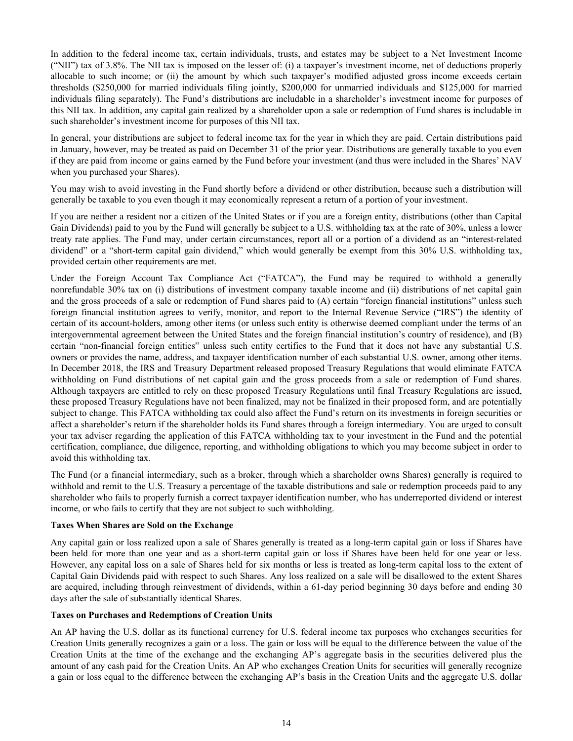In addition to the federal income tax, certain individuals, trusts, and estates may be subject to a Net Investment Income ("NII") tax of 3.8%. The NII tax is imposed on the lesser of: (i) a taxpayer's investment income, net of deductions properly allocable to such income; or (ii) the amount by which such taxpayer's modified adjusted gross income exceeds certain thresholds (\$250,000 for married individuals filing jointly, \$200,000 for unmarried individuals and \$125,000 for married individuals filing separately). The Fund's distributions are includable in a shareholder's investment income for purposes of this NII tax. In addition, any capital gain realized by a shareholder upon a sale or redemption of Fund shares is includable in such shareholder's investment income for purposes of this NII tax.

In general, your distributions are subject to federal income tax for the year in which they are paid. Certain distributions paid in January, however, may be treated as paid on December 31 of the prior year. Distributions are generally taxable to you even if they are paid from income or gains earned by the Fund before your investment (and thus were included in the Shares' NAV when you purchased your Shares).

You may wish to avoid investing in the Fund shortly before a dividend or other distribution, because such a distribution will generally be taxable to you even though it may economically represent a return of a portion of your investment.

If you are neither a resident nor a citizen of the United States or if you are a foreign entity, distributions (other than Capital Gain Dividends) paid to you by the Fund will generally be subject to a U.S. withholding tax at the rate of 30%, unless a lower treaty rate applies. The Fund may, under certain circumstances, report all or a portion of a dividend as an "interest-related dividend" or a "short-term capital gain dividend," which would generally be exempt from this 30% U.S. withholding tax, provided certain other requirements are met.

Under the Foreign Account Tax Compliance Act ("FATCA"), the Fund may be required to withhold a generally nonrefundable 30% tax on (i) distributions of investment company taxable income and (ii) distributions of net capital gain and the gross proceeds of a sale or redemption of Fund shares paid to (A) certain "foreign financial institutions" unless such foreign financial institution agrees to verify, monitor, and report to the Internal Revenue Service ("IRS") the identity of certain of its account-holders, among other items (or unless such entity is otherwise deemed compliant under the terms of an intergovernmental agreement between the United States and the foreign financial institution's country of residence), and (B) certain "non-financial foreign entities" unless such entity certifies to the Fund that it does not have any substantial U.S. owners or provides the name, address, and taxpayer identification number of each substantial U.S. owner, among other items. In December 2018, the IRS and Treasury Department released proposed Treasury Regulations that would eliminate FATCA withholding on Fund distributions of net capital gain and the gross proceeds from a sale or redemption of Fund shares. Although taxpayers are entitled to rely on these proposed Treasury Regulations until final Treasury Regulations are issued, these proposed Treasury Regulations have not been finalized, may not be finalized in their proposed form, and are potentially subject to change. This FATCA withholding tax could also affect the Fund's return on its investments in foreign securities or affect a shareholder's return if the shareholder holds its Fund shares through a foreign intermediary. You are urged to consult your tax adviser regarding the application of this FATCA withholding tax to your investment in the Fund and the potential certification, compliance, due diligence, reporting, and withholding obligations to which you may become subject in order to avoid this withholding tax.

The Fund (or a financial intermediary, such as a broker, through which a shareholder owns Shares) generally is required to withhold and remit to the U.S. Treasury a percentage of the taxable distributions and sale or redemption proceeds paid to any shareholder who fails to properly furnish a correct taxpayer identification number, who has underreported dividend or interest income, or who fails to certify that they are not subject to such withholding.

## **Taxes When Shares are Sold on the Exchange**

Any capital gain or loss realized upon a sale of Shares generally is treated as a long-term capital gain or loss if Shares have been held for more than one year and as a short-term capital gain or loss if Shares have been held for one year or less. However, any capital loss on a sale of Shares held for six months or less is treated as long-term capital loss to the extent of Capital Gain Dividends paid with respect to such Shares. Any loss realized on a sale will be disallowed to the extent Shares are acquired, including through reinvestment of dividends, within a 61-day period beginning 30 days before and ending 30 days after the sale of substantially identical Shares.

## **Taxes on Purchases and Redemptions of Creation Units**

An AP having the U.S. dollar as its functional currency for U.S. federal income tax purposes who exchanges securities for Creation Units generally recognizes a gain or a loss. The gain or loss will be equal to the difference between the value of the Creation Units at the time of the exchange and the exchanging AP's aggregate basis in the securities delivered plus the amount of any cash paid for the Creation Units. An AP who exchanges Creation Units for securities will generally recognize a gain or loss equal to the difference between the exchanging AP's basis in the Creation Units and the aggregate U.S. dollar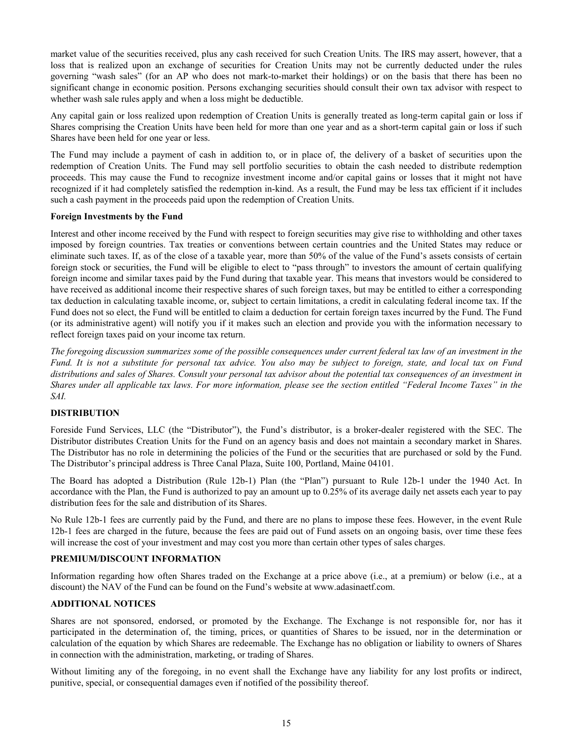<span id="page-16-0"></span>market value of the securities received, plus any cash received for such Creation Units. The IRS may assert, however, that a loss that is realized upon an exchange of securities for Creation Units may not be currently deducted under the rules governing "wash sales" (for an AP who does not mark-to-market their holdings) or on the basis that there has been no significant change in economic position. Persons exchanging securities should consult their own tax advisor with respect to whether wash sale rules apply and when a loss might be deductible.

Any capital gain or loss realized upon redemption of Creation Units is generally treated as long-term capital gain or loss if Shares comprising the Creation Units have been held for more than one year and as a short-term capital gain or loss if such Shares have been held for one year or less.

The Fund may include a payment of cash in addition to, or in place of, the delivery of a basket of securities upon the redemption of Creation Units. The Fund may sell portfolio securities to obtain the cash needed to distribute redemption proceeds. This may cause the Fund to recognize investment income and/or capital gains or losses that it might not have recognized if it had completely satisfied the redemption in-kind. As a result, the Fund may be less tax efficient if it includes such a cash payment in the proceeds paid upon the redemption of Creation Units.

## **Foreign Investments by the Fund**

Interest and other income received by the Fund with respect to foreign securities may give rise to withholding and other taxes imposed by foreign countries. Tax treaties or conventions between certain countries and the United States may reduce or eliminate such taxes. If, as of the close of a taxable year, more than 50% of the value of the Fund's assets consists of certain foreign stock or securities, the Fund will be eligible to elect to "pass through" to investors the amount of certain qualifying foreign income and similar taxes paid by the Fund during that taxable year. This means that investors would be considered to have received as additional income their respective shares of such foreign taxes, but may be entitled to either a corresponding tax deduction in calculating taxable income, or, subject to certain limitations, a credit in calculating federal income tax. If the Fund does not so elect, the Fund will be entitled to claim a deduction for certain foreign taxes incurred by the Fund. The Fund (or its administrative agent) will notify you if it makes such an election and provide you with the information necessary to reflect foreign taxes paid on your income tax return.

*The foregoing discussion summarizes some of the possible consequences under current federal tax law of an investment in the Fund. It is not a substitute for personal tax advice. You also may be subject to foreign, state, and local tax on Fund distributions and sales of Shares. Consult your personal tax advisor about the potential tax consequences of an investment in Shares under all applicable tax laws. For more information, please see the section entitled "Federal Income Taxes" in the SAI.*

#### **DISTRIBUTION**

Foreside Fund Services, LLC (the "Distributor"), the Fund's distributor, is a broker-dealer registered with the SEC. The Distributor distributes Creation Units for the Fund on an agency basis and does not maintain a secondary market in Shares. The Distributor has no role in determining the policies of the Fund or the securities that are purchased or sold by the Fund. The Distributor's principal address is Three Canal Plaza, Suite 100, Portland, Maine 04101.

The Board has adopted a Distribution (Rule 12b-1) Plan (the "Plan") pursuant to Rule 12b-1 under the 1940 Act. In accordance with the Plan, the Fund is authorized to pay an amount up to 0.25% of its average daily net assets each year to pay distribution fees for the sale and distribution of its Shares.

No Rule 12b-1 fees are currently paid by the Fund, and there are no plans to impose these fees. However, in the event Rule 12b-1 fees are charged in the future, because the fees are paid out of Fund assets on an ongoing basis, over time these fees will increase the cost of your investment and may cost you more than certain other types of sales charges.

## **PREMIUM/DISCOUNT INFORMATION**

Information regarding how often Shares traded on the Exchange at a price above (i.e., at a premium) or below (i.e., at a discount) the NAV of the Fund can be found on the Fund's website at www.adasinaetf.com.

#### **ADDITIONAL NOTICES**

Shares are not sponsored, endorsed, or promoted by the Exchange. The Exchange is not responsible for, nor has it participated in the determination of, the timing, prices, or quantities of Shares to be issued, nor in the determination or calculation of the equation by which Shares are redeemable. The Exchange has no obligation or liability to owners of Shares in connection with the administration, marketing, or trading of Shares.

Without limiting any of the foregoing, in no event shall the Exchange have any liability for any lost profits or indirect, punitive, special, or consequential damages even if notified of the possibility thereof.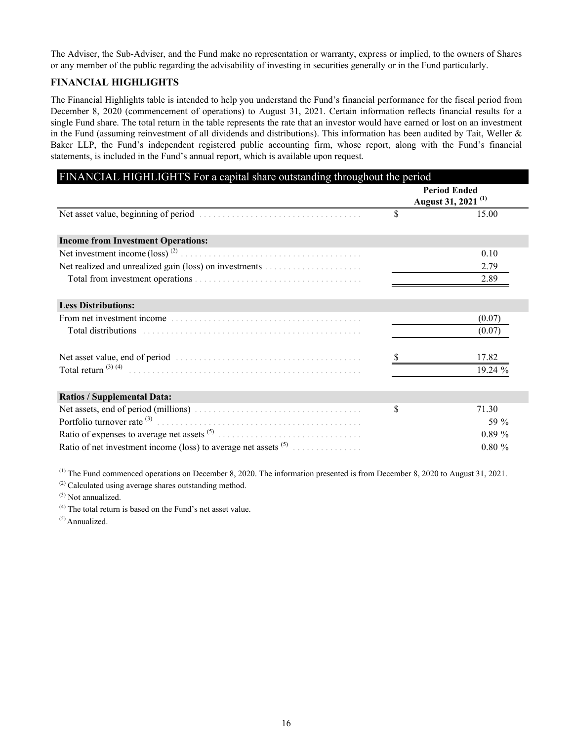<span id="page-17-0"></span>The Adviser, the Sub-Adviser, and the Fund make no representation or warranty, express or implied, to the owners of Shares or any member of the public regarding the advisability of investing in securities generally or in the Fund particularly.

## **FINANCIAL HIGHLIGHTS**

The Financial Highlights table is intended to help you understand the Fund's financial performance for the fiscal period from December 8, 2020 (commencement of operations) to August 31, 2021. Certain information reflects financial results for a single Fund share. The total return in the table represents the rate that an investor would have earned or lost on an investment in the Fund (assuming reinvestment of all dividends and distributions). This information has been audited by Tait, Weller & Baker LLP, the Fund's independent registered public accounting firm, whose report, along with the Fund's financial statements, is included in the Fund's annual report, which is available upon request.

|                                                                   | <b>Period Ended</b> |                                |
|-------------------------------------------------------------------|---------------------|--------------------------------|
|                                                                   |                     | August 31, 2021 <sup>(1)</sup> |
|                                                                   | \$                  | 15.00                          |
| <b>Income from Investment Operations:</b>                         |                     |                                |
| Net investment income $(\text{loss})^{(2)}$                       |                     | 0.10                           |
|                                                                   |                     | 2.79                           |
|                                                                   |                     | 2.89                           |
| <b>Less Distributions:</b>                                        |                     |                                |
| From net investment income                                        |                     | (0.07)                         |
| Total distributions                                               |                     | (0.07)                         |
|                                                                   |                     | 17.82                          |
| Total return $^{(3) (4)}$                                         |                     | 19.24 %                        |
| <b>Ratios / Supplemental Data:</b>                                |                     |                                |
|                                                                   | \$                  | 71.30                          |
| Portfolio turnover rate (3)                                       |                     | 59 $\%$                        |
|                                                                   |                     | 0.89%                          |
| Ratio of net investment income (loss) to average net assets $(5)$ |                     | $0.80 \%$                      |

 $^{(1)}$  The Fund commenced operations on December 8, 2020. The information presented is from December 8, 2020 to August 31, 2021.

(2) Calculated using average shares outstanding method.

 $(3)$  Not annualized.

(4) The total return is based on the Fund's net asset value.

(5) Annualized.